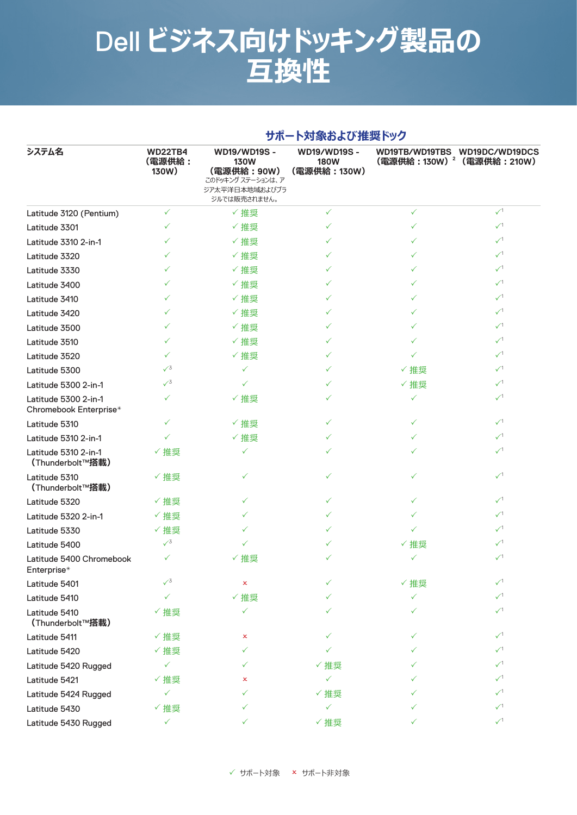**サポート対象および推奨ドック**

|                                                |                                   | 2 W                                                                                                      | 「いっぷいいのし ループー・ノノ                                  |              |                                                                         |  |  |
|------------------------------------------------|-----------------------------------|----------------------------------------------------------------------------------------------------------|---------------------------------------------------|--------------|-------------------------------------------------------------------------|--|--|
| システム名                                          | <b>WD22TB4</b><br>(電源供給:<br>130W) | <b>WD19/WD19S -</b><br><b>130W</b><br>(電源供給: 90W)<br>このドッキング ステーションは、ア<br>ジア太平洋日本地域およびブラ<br>ジルでは販売されません。 | <b>WD19/WD19S-</b><br><b>180W</b><br>(電源供給: 130W) |              | WD19TB/WD19TBS WD19DC/WD19DCS<br>(電源供給: 130W) <sup>2</sup> (電源供給: 210W) |  |  |
| Latitude 3120 (Pentium)                        | ✓                                 | √推奨                                                                                                      | ✓                                                 | $\checkmark$ | $\sqrt{1}$                                                              |  |  |
| Latitude 3301                                  | ✓                                 | √推奨                                                                                                      | ✓                                                 | ✓            | $\sqrt{1}$                                                              |  |  |
| Latitude 3310 2-in-1                           | ✓                                 | √推奨                                                                                                      | ✓                                                 | ✓            | $\sqrt{1}$                                                              |  |  |
| Latitude 3320                                  | ✓                                 | √推奨                                                                                                      | ✓                                                 | ✓            | $\checkmark$                                                            |  |  |
| Latitude 3330                                  | ✓                                 | √推奨                                                                                                      | ✓                                                 | ✓            | $\checkmark$                                                            |  |  |
| Latitude 3400                                  | ✓                                 | √推奨                                                                                                      | ✓                                                 | ✓            | $\checkmark$                                                            |  |  |
| Latitude 3410                                  | ✓                                 | √推奨                                                                                                      | ✓                                                 | $\checkmark$ | $\sqrt{1}$                                                              |  |  |
| Latitude 3420                                  | ✓                                 | √推奨                                                                                                      | ✓                                                 | ✓            | $\sqrt{1}$                                                              |  |  |
| Latitude 3500                                  | ✓                                 | √推奨                                                                                                      | ✓                                                 | ✓            | $\sqrt{1}$                                                              |  |  |
| Latitude 3510                                  | ✓                                 | ✓推奨                                                                                                      | ✓                                                 | ✓            | $\sqrt{1}$                                                              |  |  |
| Latitude 3520                                  | ✓                                 | √推奨                                                                                                      | ✓                                                 | ✓            | $\checkmark$                                                            |  |  |
| Latitude 5300                                  | $\sqrt{3}$                        | ✓                                                                                                        | ✓                                                 | √推奨          | $\checkmark$                                                            |  |  |
| Latitude 5300 2-in-1                           | $\sqrt{3}$                        | ✓                                                                                                        | ✓                                                 | √推奨          | $\checkmark$                                                            |  |  |
| Latitude 5300 2-in-1<br>Chromebook Enterprise* | ✓                                 | ✓推奨                                                                                                      |                                                   | ✓            | $\sqrt{1}$                                                              |  |  |
| Latitude 5310                                  | ✓                                 | √推奨                                                                                                      | ✓                                                 | ✓            | $\sqrt{1}$                                                              |  |  |
| Latitude 5310 2-in-1                           | ✓                                 | ✓推奨                                                                                                      | ✓                                                 | ✓            | $\sqrt{1}$                                                              |  |  |
| Latitude 5310 2-in-1<br>(Thunderbolt™搭載)       | ✓推奨                               | ✓                                                                                                        | ✓                                                 | ✓            | $\sqrt{1}$                                                              |  |  |
| Latitude 5310<br>(Thunderbolt™搭載)              | √推奨                               | ✓                                                                                                        | ✓                                                 | ✓            | $\sqrt{1}$                                                              |  |  |
| Latitude 5320                                  | ✓推奨                               | ✓                                                                                                        | ✓                                                 | ✓            | $\sqrt{1}$                                                              |  |  |
| Latitude 5320 2-in-1                           | ✓推奨                               | ✓                                                                                                        | ✓                                                 | ✓            | $\sqrt{1}$                                                              |  |  |
| Latitude 5330                                  | ✓推奨                               |                                                                                                          | ✓                                                 | ✓            | $\checkmark$                                                            |  |  |
| Latitude 5400                                  | $\sqrt{3}$                        |                                                                                                          | ✓                                                 | √推奨          | $\checkmark$                                                            |  |  |
| Latitude 5400 Chromebook<br>Enterprise*        | ✓                                 | ✓ 推奨                                                                                                     |                                                   | ✓            | $\checkmark$                                                            |  |  |
| Latitude 5401                                  | $\sqrt{3}$                        | ×                                                                                                        | ✓                                                 | ✓推奨          | $\sqrt{1}$                                                              |  |  |
| Latitude 5410                                  | ✓                                 | √推奨                                                                                                      |                                                   | ✓            | $\sqrt{1}$                                                              |  |  |
| Latitude 5410<br>(Thunderbolt™搭載)              | ✓推奨                               | $\checkmark$                                                                                             |                                                   | ✓            | $\sqrt{1}$                                                              |  |  |
| Latitude 5411                                  | ✓推奨                               | x                                                                                                        |                                                   | ✓            | $\sqrt{1}$                                                              |  |  |
| Latitude 5420                                  | ✓推奨                               | ✓                                                                                                        |                                                   |              | $\sqrt{1}$                                                              |  |  |
| Latitude 5420 Rugged                           | ✓                                 |                                                                                                          | √推奨                                               |              | $\checkmark$                                                            |  |  |
| Latitude 5421                                  | ✓推奨                               | x                                                                                                        | ✓                                                 |              | $\checkmark$                                                            |  |  |
| Latitude 5424 Rugged                           | ✓                                 |                                                                                                          | ✓推奨                                               |              | $\checkmark$                                                            |  |  |
| Latitude 5430                                  | ✓推奨                               | ✓                                                                                                        | ✓                                                 | ✓            | $\checkmark$                                                            |  |  |
| Latitude 5430 Rugged                           | $\checkmark$                      | $\checkmark$                                                                                             | ✓推奨                                               | ✓            | $\sqrt{1}$                                                              |  |  |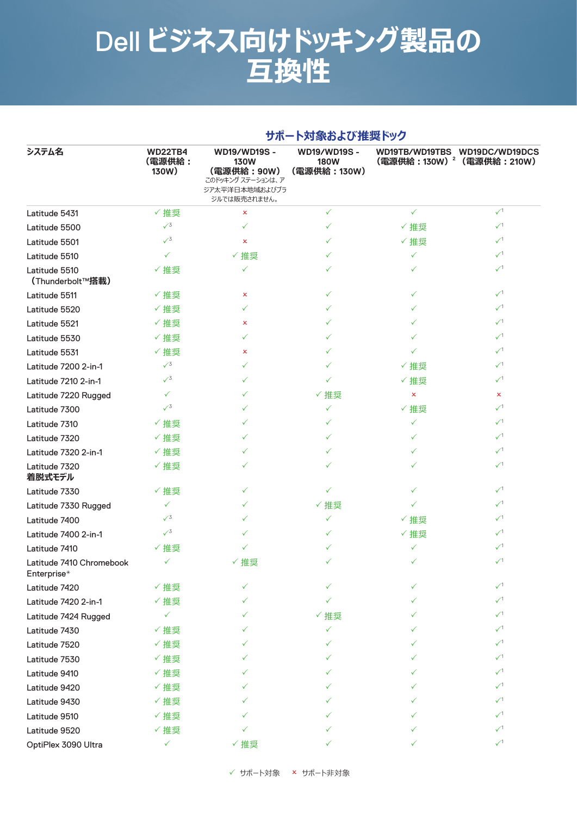| システム名                                   | サポート対象および推奨ドック                    |                                                                                                         |                                                    |              |                                                                         |  |  |
|-----------------------------------------|-----------------------------------|---------------------------------------------------------------------------------------------------------|----------------------------------------------------|--------------|-------------------------------------------------------------------------|--|--|
|                                         | <b>WD22TB4</b><br>(電源供給:<br>130W) | <b>WD19/WD19S -</b><br><b>130W</b><br>(電源供給:90W)<br>このドッキング ステーションは、ア<br>ジア太平洋日本地域およびブラ<br>ジルでは販売されません。 | <b>WD19/WD19S -</b><br><b>180W</b><br>(電源供給: 130W) |              | WD19TB/WD19TBS WD19DC/WD19DCS<br>(電源供給: 130W) <sup>2</sup> (電源供給: 210W) |  |  |
| Latitude 5431                           | √推奨                               | ×                                                                                                       | ✓                                                  | $\checkmark$ | $\sqrt{1}$                                                              |  |  |
| Latitude 5500                           | $\sqrt{3}$                        | ✓                                                                                                       | ✓                                                  | ✓推奨          | $\sqrt{1}$                                                              |  |  |
| Latitude 5501                           | $\sqrt{3}$                        | ×                                                                                                       | ✓                                                  | ✓ 推奨         | $\sqrt{1}$                                                              |  |  |
| Latitude 5510                           | $\checkmark$                      | √推奨                                                                                                     | ✓                                                  | $\checkmark$ | $\checkmark$                                                            |  |  |
| Latitude 5510<br>(Thunderbolt™搭載)       | ✓推奨                               | ✓                                                                                                       |                                                    | ✓            | $\sqrt{1}$                                                              |  |  |
| Latitude 5511                           | √推奨                               | ×                                                                                                       | ✓                                                  | ✓            | $\sqrt{1}$                                                              |  |  |
| Latitude 5520                           | ✓推奨                               | ✓                                                                                                       | ✓                                                  | ✓            | $\sqrt{1}$                                                              |  |  |
| Latitude 5521                           | ✓推奨                               | ×                                                                                                       |                                                    | ✓            | $\checkmark$                                                            |  |  |
| Latitude 5530                           | ✓ 推奨                              | ✓                                                                                                       | ✓                                                  | ✓            | $\sqrt{1}$                                                              |  |  |
| Latitude 5531                           | ✓推奨                               | x                                                                                                       | ✓                                                  | ✓            | $\sqrt{1}$                                                              |  |  |
| Latitude 7200 2-in-1                    | $\sqrt{3}$                        | ✓                                                                                                       | ✓                                                  | ✓推奨          | $\sqrt{1}$                                                              |  |  |
| Latitude 7210 2-in-1                    | $\sqrt{3}$                        | ✓                                                                                                       | ✓                                                  | ✓推奨          | $\checkmark$                                                            |  |  |
| Latitude 7220 Rugged                    | ✓                                 | ✓                                                                                                       | √推奨                                                | x            | ×                                                                       |  |  |
| Latitude 7300                           | $\sqrt{3}$                        | ✓                                                                                                       | ✓                                                  | √推奨          | $\checkmark$                                                            |  |  |
| Latitude 7310                           | ✓推奨                               | ✓                                                                                                       | ✓                                                  | $\checkmark$ | $\checkmark$                                                            |  |  |
| Latitude 7320                           | ✓推奨                               | $\checkmark$                                                                                            | ✓                                                  | ✓            | $\sqrt{1}$                                                              |  |  |
| Latitude 7320 2-in-1                    | ✓推奨                               | ✓                                                                                                       | ✓                                                  | ✓            | $\sqrt{1}$                                                              |  |  |
| Latitude 7320<br>着脱式モデル                 | ✓推奨                               |                                                                                                         |                                                    | ✓            | $\checkmark$                                                            |  |  |
| Latitude 7330                           | ✓推奨                               | ✓                                                                                                       | ✓                                                  | ✓            | $\sqrt{1}$                                                              |  |  |
| Latitude 7330 Rugged                    | $\checkmark$                      | ✓                                                                                                       | √推奨                                                | ✓            | $\checkmark$                                                            |  |  |
| Latitude 7400                           | $\sqrt{3}$                        | ✓                                                                                                       | ✓                                                  | ✓ 推奨         | $\checkmark$                                                            |  |  |
| Latitude 7400 2-in-1                    | $\sqrt{3}$                        |                                                                                                         | ✓                                                  | √推奨          | $\sqrt{1}$                                                              |  |  |
| Latitude 7410                           | √推奨                               |                                                                                                         |                                                    | ✓            | $\sqrt{1}$                                                              |  |  |
| Latitude 7410 Chromebook<br>Enterprise* | $\checkmark$                      | ✓推奨                                                                                                     |                                                    | $\checkmark$ | $\mathcal{N}^1$                                                         |  |  |
| Latitude 7420                           | √推奨                               | ✓                                                                                                       |                                                    | ✓            | $\sqrt{1}$                                                              |  |  |
| Latitude 7420 2-in-1                    | ✓推奨                               |                                                                                                         |                                                    | ✓            | $\sqrt{1}$                                                              |  |  |
| Latitude 7424 Rugged                    | ✓                                 |                                                                                                         | ✓推奨                                                |              | $\sqrt{1}$                                                              |  |  |
| Latitude 7430                           | ✓推奨                               |                                                                                                         | ✓                                                  |              | $\checkmark$                                                            |  |  |
| Latitude 7520                           | ✓推奨                               |                                                                                                         |                                                    |              | $\sqrt{1}$                                                              |  |  |
| Latitude 7530                           | ✓推奨                               |                                                                                                         |                                                    |              | $\sqrt{1}$                                                              |  |  |
| Latitude 9410                           | ✓推奨                               |                                                                                                         |                                                    |              | $\checkmark$                                                            |  |  |
| Latitude 9420                           | ✓推奨                               |                                                                                                         |                                                    |              | $\sqrt{1}$                                                              |  |  |
| Latitude 9430                           | ✓推奨                               |                                                                                                         |                                                    |              | $\sqrt{1}$                                                              |  |  |
| Latitude 9510                           | ✓推奨                               |                                                                                                         |                                                    |              | $\sqrt{1}$                                                              |  |  |
| Latitude 9520                           | ✓推奨                               |                                                                                                         |                                                    | ✓            | $\sqrt{1}$                                                              |  |  |
| OptiPlex 3090 Ultra                     | ✓                                 | ✓推奨                                                                                                     | ✓                                                  | ✓            | $\checkmark$                                                            |  |  |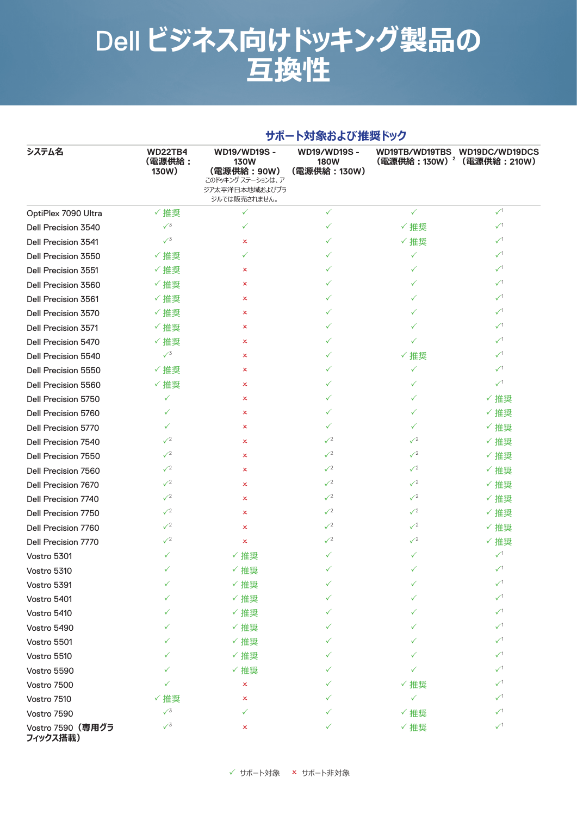| システム名                         | サポート対象および推奨ドック                    |                                                                                                          |                                                    |                                        |                               |  |  |
|-------------------------------|-----------------------------------|----------------------------------------------------------------------------------------------------------|----------------------------------------------------|----------------------------------------|-------------------------------|--|--|
|                               | <b>WD22TB4</b><br>(電源供給:<br>130W) | <b>WD19/WD19S -</b><br><b>130W</b><br>(電源供給: 90W)<br>このドッキング ステーションは、ア<br>ジア太平洋日本地域およびブラ<br>ジルでは販売されません。 | <b>WD19/WD19S -</b><br><b>180W</b><br>(電源供給: 130W) | (電源供給: 130W) <sup>2</sup> (電源供給: 210W) | WD19TB/WD19TBS WD19DC/WD19DCS |  |  |
| OptiPlex 7090 Ultra           | √推奨                               | ✓                                                                                                        | ✓                                                  | $\checkmark$                           | $\sqrt{1}$                    |  |  |
| Dell Precision 3540           | $\sqrt{3}$                        | ✓                                                                                                        | ✓                                                  | ✓ 推奨                                   | $\checkmark$                  |  |  |
| Dell Precision 3541           | $\sqrt{3}$                        | ×                                                                                                        | ✓                                                  | ✓推奨                                    | $\checkmark$                  |  |  |
| Dell Precision 3550           | ✓推奨                               | ✓                                                                                                        | ✓                                                  | ✓                                      | $\sqrt{1}$                    |  |  |
| Dell Precision 3551           | ✓推奨                               | ×                                                                                                        | $\checkmark$                                       | ✓                                      | $\sqrt{1}$                    |  |  |
| Dell Precision 3560           | ✓推奨                               | x                                                                                                        | ✓                                                  | ✓                                      | $\sqrt{1}$                    |  |  |
| Dell Precision 3561           | ✓推奨                               | ×                                                                                                        | ✓                                                  | ✓                                      | $\checkmark$                  |  |  |
| Dell Precision 3570           | ✓推奨                               | ×                                                                                                        | ✓                                                  | ✓                                      | $\sqrt{1}$                    |  |  |
| Dell Precision 3571           | ✓推奨                               | ×                                                                                                        | ✓                                                  | ✓                                      | $\checkmark$                  |  |  |
| Dell Precision 5470           | ✓推奨                               | ×                                                                                                        | ✓                                                  | ✓                                      | $\sqrt{1}$                    |  |  |
| Dell Precision 5540           | $\sqrt{3}$                        | ×                                                                                                        | $\checkmark$                                       | ✓ 推奨                                   | $\checkmark$                  |  |  |
| Dell Precision 5550           | ✓推奨                               | x                                                                                                        | ✓                                                  | ✓                                      | $\checkmark$                  |  |  |
| Dell Precision 5560           | ✓推奨                               | x                                                                                                        | ✓                                                  | ✓                                      | $\sqrt{1}$                    |  |  |
| Dell Precision 5750           | $\checkmark$                      | ×                                                                                                        | ✓                                                  | ✓                                      | ✓ 推奨                          |  |  |
| Dell Precision 5760           | ✓                                 | x                                                                                                        | ✓                                                  | ✓                                      | ✓ 推奨                          |  |  |
| Dell Precision 5770           | ✓                                 | x                                                                                                        | ✓                                                  | ✓                                      | ✓ 推奨                          |  |  |
| Dell Precision 7540           | $\sqrt{2}$                        | x                                                                                                        | $\sqrt{2}$                                         | $\sqrt{2}$                             | ✓ 推奨                          |  |  |
| Dell Precision 7550           | $\sqrt{2}$                        | x                                                                                                        | $\sqrt{2}$                                         | $\sqrt{2}$                             | ✓推奨                           |  |  |
| Dell Precision 7560           | $\sqrt{2}$                        | x                                                                                                        | $\sqrt{2}$                                         | $\sqrt{2}$                             | ✓ 推奨                          |  |  |
| <b>Dell Precision 7670</b>    | $\sqrt{2}$                        | ×                                                                                                        | $\sqrt{2}$                                         | $\sqrt{2}$                             | ✓ 推奨                          |  |  |
| Dell Precision 7740           | $\sqrt{2}$                        | ×                                                                                                        | $\sqrt{2}$                                         | $\sqrt{2}$                             | ✓推奨                           |  |  |
| Dell Precision 7750           | $\sqrt{2}$                        | x                                                                                                        | $\sqrt{2}$                                         | $\sqrt{2}$                             | ✓ 推奨                          |  |  |
| Dell Precision 7760           | $\sqrt{2}$                        | x                                                                                                        | $\sqrt{2}$                                         | $\sqrt{2}$                             | ✓ 推奨                          |  |  |
| Dell Precision 7770           | $\sqrt{2}$                        | ×                                                                                                        | $\sqrt{2}$                                         | $\sqrt{2}$                             | ✓推奨                           |  |  |
| Vostro 5301                   | $\checkmark$                      | √推奨                                                                                                      | ✓                                                  | ✓                                      | $\checkmark$ <sup>1</sup>     |  |  |
| Vostro 5310                   | ✓                                 | √推奨                                                                                                      | ✓                                                  | ✓                                      | $\checkmark$ <sup>1</sup>     |  |  |
| Vostro 5391                   | ✓                                 | √推奨                                                                                                      | ✓                                                  |                                        | $\sqrt{1}$                    |  |  |
| Vostro 5401                   | ✓                                 | √推奨                                                                                                      | ✓                                                  |                                        | $\sqrt{1}$                    |  |  |
| Vostro 5410                   | ✓                                 | ✓推奨                                                                                                      | ✓                                                  | ✓                                      | $\checkmark$                  |  |  |
| Vostro 5490                   |                                   | ✓推奨                                                                                                      |                                                    |                                        | $\sqrt{1}$                    |  |  |
| Vostro 5501                   |                                   | ✓推奨                                                                                                      |                                                    |                                        | $\sqrt{1}$                    |  |  |
| Vostro 5510                   |                                   | √推奨                                                                                                      | ✓                                                  |                                        | $\sqrt{1}$                    |  |  |
| Vostro 5590                   | ✓                                 | ✓推奨                                                                                                      | ✓                                                  |                                        | $\checkmark$                  |  |  |
| Vostro 7500                   | ✓                                 | ×                                                                                                        |                                                    | √推奨                                    | $\checkmark$                  |  |  |
| Vostro 7510                   | ✓推奨                               | x                                                                                                        |                                                    | ✓                                      | $\checkmark$                  |  |  |
| Vostro 7590                   | $\sqrt{3}$                        | ✓                                                                                                        | ✓                                                  | √推奨                                    | $\checkmark$                  |  |  |
| Vostro 7590 (専用グラ<br>フィックス搭載) | $\sqrt{3}$                        | x                                                                                                        | ✓                                                  | ✓推奨                                    | $\checkmark$ <sup>1</sup>     |  |  |